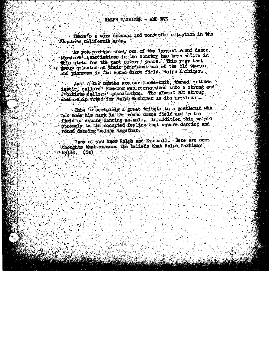There's a very nonsuel and wonderful situation in the Southern California area.

As you perhaps know, one of the largest round dance teachers' associations in the country has been active in this state for the past several years. This year that group selected as their president one of the old timers and pionoers in the round dance field, Ralph Maxhimer.

Just a few menths ago our loose-knit, though enthuslastic, callers<sup>t</sup> Pow-wow was reorganized into a strong and awhitious callers' association. The almost 200 strong membership voted for Ralph Maxhimer as its president.

This is certainly a great tribute to a gentleman who has made his mark in the round dance field and in the field of square dancing as well. In addition this points strongly to the accepted feeling that square dancing and round dansing belong together.

Mary of you know Ralph and Eve well. Here are some thoughts that express the beliefs that Ralph Maxhimer holds. (Os)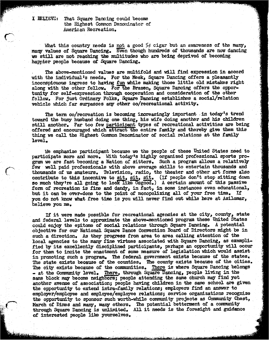I BELIEVE:

That Square Dancing could become the Highest Common Denominator of American Recreation.

What this country needs is not a good  $5\phi$  cigar but an awareness of the many, many values of Square Dancing. Even though hundreds of thousands are now dancing we still are not reaching the multitudes who are being deprived of becoming happier people because of Square Dancing.

The above-mentioned values are multifold and will find expression in accord with the individual's needs. For the Meek, Square Dancing offers a pleasantly inconspicuous ingress to having fun while making those little old mistakes right along with the other fellow. For the Brazen, Square Dancing offers the opportunity for self-expression through cooperation and consideration of the other fellow. For just Ordinary Folks, Square Dancing establishes a social/relation vehicle which far surpasses any other co/recreational activity.

The term co/recreation is becoming increasingly important in today's trend toward the busy husband doing one thing, his wife doing another and his children still another. Far too few participant types of recreational activities are being offered and encouraged which attract the entire family and thereby give them this thing we call the Highest Common Denominator of social relations at the family  $level.$ 

We emphasize participant because we the people of these United States need to participate more and more. With today's highly organized professional sports program we are fast becoming a Nation of sitters. Such a program allows a relatively few well paid professionals with above average skills to entertain thousands and thousands of us amateurs. Television, radio, the theater and other art forms also contribute to this incentive to sit, sit, sit. (If people don't stop sitting down so much they're all going to look like Osgood.) A certain amount of this passive form of recreation is fine and dandy, in fact, in some instances even educational, but it can be over-done to the point of monopolizing all of your free time. If you do not know what free time is you will never find out while here at Asilomar, believe you me.

If it were made possible for recreational agencies at the city, county, state and federal levels to approximate the above-mentioned program these United States could enjoy the epitome of social relations through Square Dancing. A potential objective for our National Square Dance Convention Board of Directors might be in such a direction. As they progress from area to area calling attention of the local agencies to the many fine virtues associated with Square Dancing, as exemplified by its excellently disciplined participants, perhaps an opportunity will occur for them to incite the enactment of some measure of legislation which would assist in promoting such a program. The federal government exists because of the states. The state exists because of the counties. The county exists because of the cities. The city exists because of the communities. There is where Square Dancing belongs - at the Community level. There, through Square Dancing, people living in the same block may become neighbors; people attending the same church may find yet another avenue of association; people having children in the same school are given the opportunity to extend intra-family relations; employers find an answer to employer/employee and employee/employee relations; service organizations recognize the opportunity to sponsor such worth-while community projects as Community Chest, March of Dimes and many, many others. The potential betterment of a community through Square Dancing is unlimited. All it needs is the foresight and guidance of interested people like yourselves.